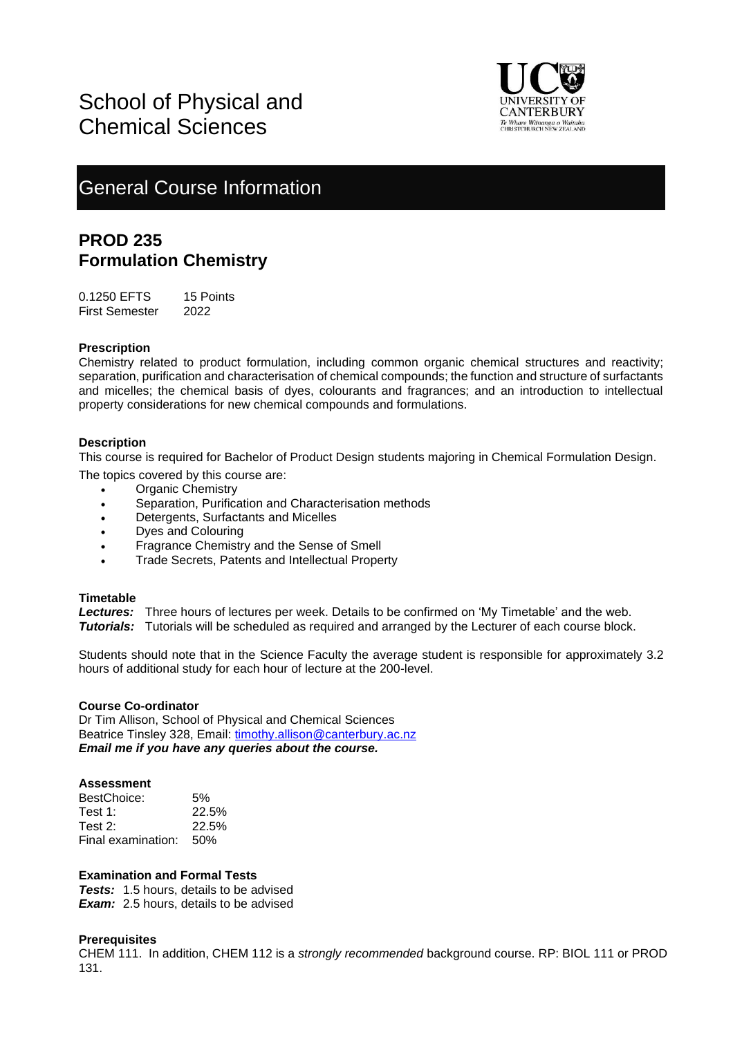

# General Course Information

# **PROD 235 Formulation Chemistry**

0.1250 EFTS 15 Points First Semester 2022

# **Prescription**

Chemistry related to product formulation, including common organic chemical structures and reactivity; separation, purification and characterisation of chemical compounds; the function and structure of surfactants and micelles; the chemical basis of dyes, colourants and fragrances; and an introduction to intellectual property considerations for new chemical compounds and formulations.

# **Description**

This course is required for Bachelor of Product Design students majoring in Chemical Formulation Design.

- The topics covered by this course are:
	- Organic Chemistry
	- Separation, Purification and Characterisation methods
	- Detergents, Surfactants and Micelles
	- Dyes and Colouring
	- Fragrance Chemistry and the Sense of Smell
	- Trade Secrets, Patents and Intellectual Property

# **Timetable**

*Lectures:* Three hours of lectures per week. Details to be confirmed on 'My Timetable' and the web. *Tutorials:* Tutorials will be scheduled as required and arranged by the Lecturer of each course block.

Students should note that in the Science Faculty the average student is responsible for approximately 3.2 hours of additional study for each hour of lecture at the 200-level.

# **Course Co-ordinator**

Dr Tim Allison, School of Physical and Chemical Sciences Beatrice Tinsley 328, Email: [timothy.allison@canterbury.ac.nz](mailto:timothy.allison@canterbury.ac.nz) *Email me if you have any queries about the course.*

# **Assessment**

| BestChoice:        | .5%   |
|--------------------|-------|
| Test 1:            | 22.5% |
| Test 2:            | 22.5% |
| Final examination: | -50%  |

# **Examination and Formal Tests**

**Tests:** 1.5 hours, details to be advised **Exam:** 2.5 hours, details to be advised

# **Prerequisites**

CHEM 111. In addition, CHEM 112 is a *strongly recommended* background course. RP: BIOL 111 or PROD 131.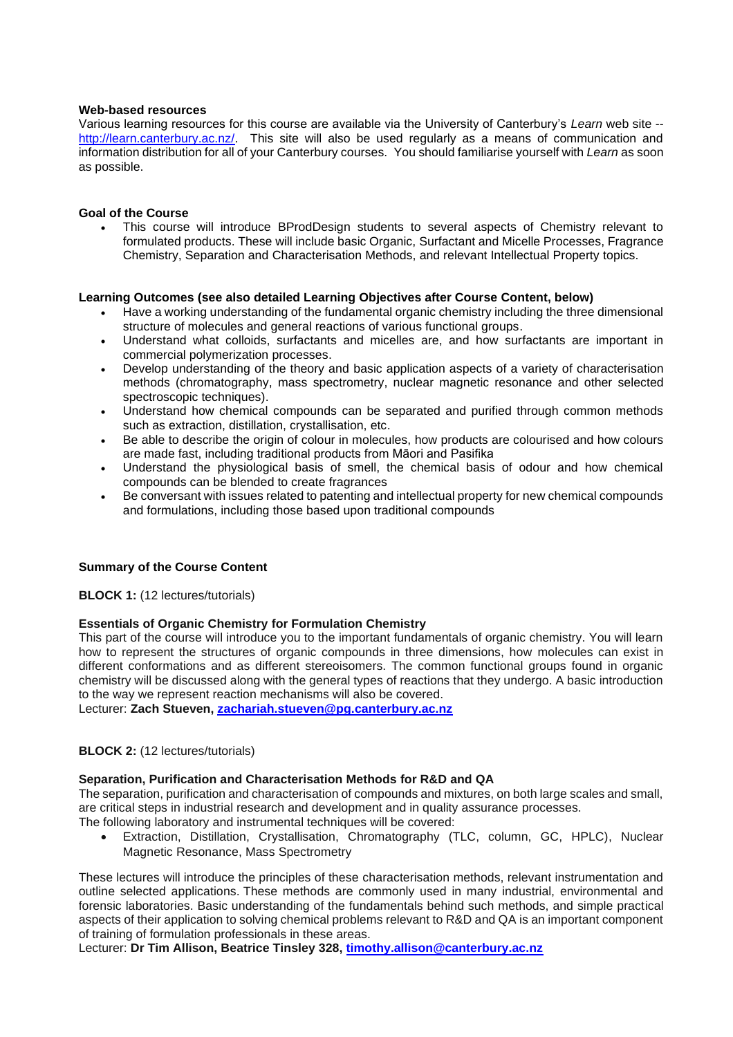#### **Web-based resources**

Various learning resources for this course are available via the University of Canterbury's *Learn* web site - http://learn.canterbury.ac.nz/. This site will also be used regularly as a means of communication and information distribution for all of your Canterbury courses. You should familiarise yourself with *Learn* as soon as possible.

# **Goal of the Course**

• This course will introduce BProdDesign students to several aspects of Chemistry relevant to formulated products. These will include basic Organic, Surfactant and Micelle Processes, Fragrance Chemistry, Separation and Characterisation Methods, and relevant Intellectual Property topics.

# **Learning Outcomes (see also detailed Learning Objectives after Course Content, below)**

- Have a working understanding of the fundamental organic chemistry including the three dimensional structure of molecules and general reactions of various functional groups.
- Understand what colloids, surfactants and micelles are, and how surfactants are important in commercial polymerization processes.
- Develop understanding of the theory and basic application aspects of a variety of characterisation methods (chromatography, mass spectrometry, nuclear magnetic resonance and other selected spectroscopic techniques).
- Understand how chemical compounds can be separated and purified through common methods such as extraction, distillation, crystallisation, etc.
- Be able to describe the origin of colour in molecules, how products are colourised and how colours are made fast, including traditional products from Māori and Pasifika
- Understand the physiological basis of smell, the chemical basis of odour and how chemical compounds can be blended to create fragrances
- Be conversant with issues related to patenting and intellectual property for new chemical compounds and formulations, including those based upon traditional compounds

# **Summary of the Course Content**

**BLOCK 1:** (12 lectures/tutorials)

#### **Essentials of Organic Chemistry for Formulation Chemistry**

This part of the course will introduce you to the important fundamentals of organic chemistry. You will learn how to represent the structures of organic compounds in three dimensions, how molecules can exist in different conformations and as different stereoisomers. The common functional groups found in organic chemistry will be discussed along with the general types of reactions that they undergo. A basic introduction to the way we represent reaction mechanisms will also be covered.

Lecturer: **Zach Stueven, [zachariah.stueven@pg.canterbury.ac.nz](mailto:zachariah.stueven@pg.canterbury.ac.nz)**

# **BLOCK 2:** (12 lectures/tutorials)

# **Separation, Purification and Characterisation Methods for R&D and QA**

The separation, purification and characterisation of compounds and mixtures, on both large scales and small, are critical steps in industrial research and development and in quality assurance processes.

- The following laboratory and instrumental techniques will be covered:
	- Extraction, Distillation, Crystallisation, Chromatography (TLC, column, GC, HPLC), Nuclear Magnetic Resonance, Mass Spectrometry

These lectures will introduce the principles of these characterisation methods, relevant instrumentation and outline selected applications. These methods are commonly used in many industrial, environmental and forensic laboratories. Basic understanding of the fundamentals behind such methods, and simple practical aspects of their application to solving chemical problems relevant to R&D and QA is an important component of training of formulation professionals in these areas.

Lecturer: **Dr Tim Allison, Beatrice Tinsley 328, [timothy.allison@canterbury.ac.nz](mailto:timothy.allison@canterbury.ac.nz)**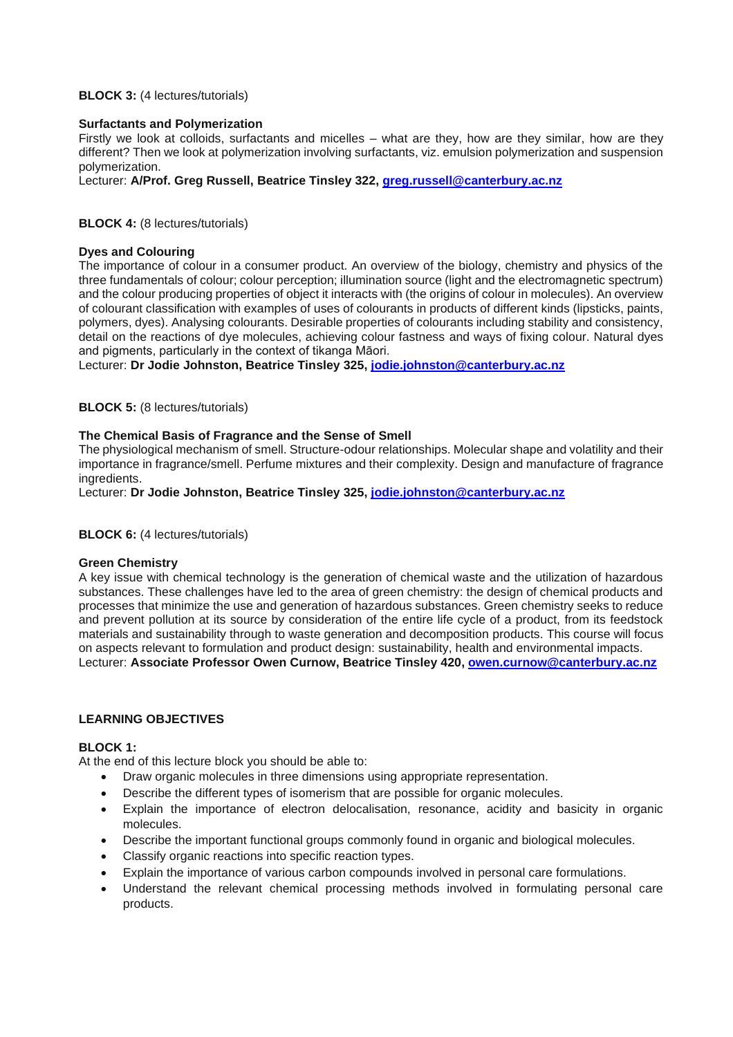# **BLOCK 3:** (4 lectures/tutorials)

#### **Surfactants and Polymerization**

Firstly we look at colloids, surfactants and micelles – what are they, how are they similar, how are they different? Then we look at polymerization involving surfactants, viz. emulsion polymerization and suspension polymerization.

Lecturer: **A/Prof. Greg Russell, Beatrice Tinsley 322, [greg.russell@canterbury.ac.nz](mailto:greg.russell@canterbury.ac.nz)**

#### **BLOCK 4:** (8 lectures/tutorials)

#### **Dyes and Colouring**

The importance of colour in a consumer product. An overview of the biology, chemistry and physics of the three fundamentals of colour; colour perception; illumination source (light and the electromagnetic spectrum) and the colour producing properties of object it interacts with (the origins of colour in molecules). An overview of colourant classification with examples of uses of colourants in products of different kinds (lipsticks, paints, polymers, dyes). Analysing colourants. Desirable properties of colourants including stability and consistency, detail on the reactions of dye molecules, achieving colour fastness and ways of fixing colour. Natural dyes and pigments, particularly in the context of tikanga Māori.

Lecturer: **Dr Jodie Johnston, Beatrice Tinsley 325, [jodie.johnston@canterbury.ac.nz](mailto:jodie.johnston@canterbury.ac.nz)**

**BLOCK 5:** (8 lectures/tutorials)

#### **The Chemical Basis of Fragrance and the Sense of Smell**

The physiological mechanism of smell. Structure-odour relationships. Molecular shape and volatility and their importance in fragrance/smell. Perfume mixtures and their complexity. Design and manufacture of fragrance ingredients.

Lecturer: **Dr Jodie Johnston, Beatrice Tinsley 325, [jodie.johnston@canterbury.ac.nz](mailto:jodie.johnston@canterbury.ac.nz)**

**BLOCK 6:** (4 lectures/tutorials)

#### **Green Chemistry**

A key issue with chemical technology is the generation of chemical waste and the utilization of hazardous substances. These challenges have led to the area of green chemistry: the design of chemical products and processes that minimize the use and generation of hazardous substances. Green chemistry seeks to reduce and prevent pollution at its source by consideration of the entire life cycle of a product, from its feedstock materials and sustainability through to waste generation and decomposition products. This course will focus on aspects relevant to formulation and product design: sustainability, health and environmental impacts. Lecturer: **Associate Professor Owen Curnow, Beatrice Tinsley 420, [owen.curnow@canterbury.ac.nz](mailto:owen.curnow@canterbury.ac.nz)**

#### **LEARNING OBJECTIVES**

# **BLOCK 1:**

At the end of this lecture block you should be able to:

- Draw organic molecules in three dimensions using appropriate representation.
- Describe the different types of isomerism that are possible for organic molecules.
- Explain the importance of electron delocalisation, resonance, acidity and basicity in organic molecules.
- Describe the important functional groups commonly found in organic and biological molecules.
- Classify organic reactions into specific reaction types.
- Explain the importance of various carbon compounds involved in personal care formulations.
- Understand the relevant chemical processing methods involved in formulating personal care products.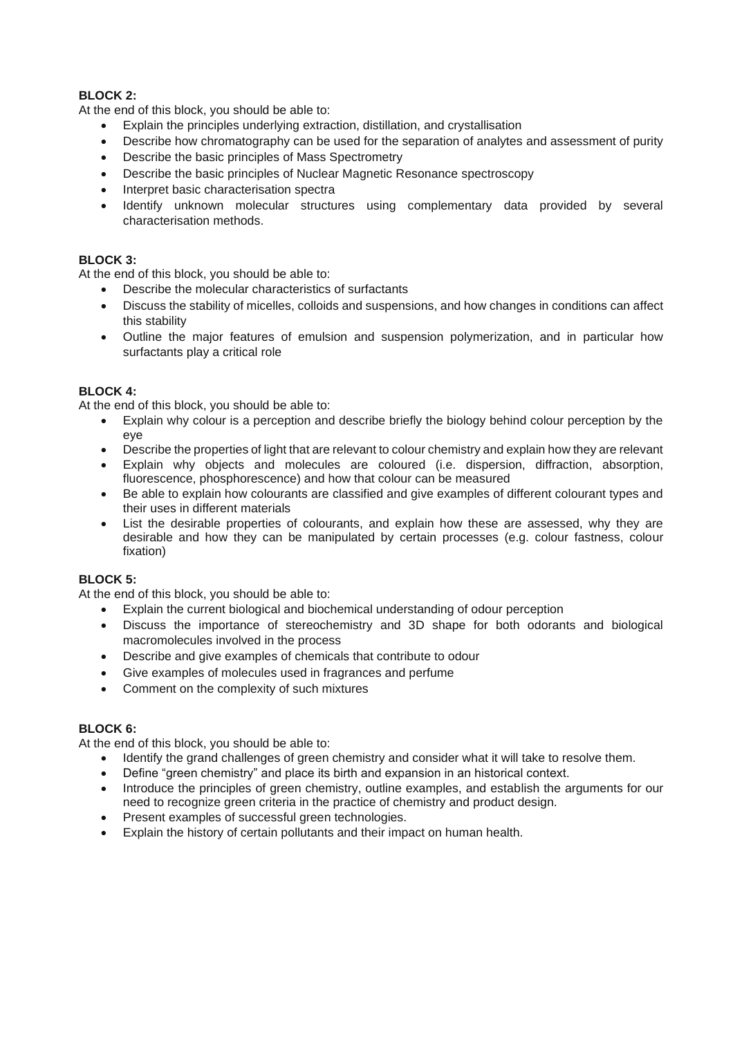# **BLOCK 2:**

At the end of this block, you should be able to:

- Explain the principles underlying extraction, distillation, and crystallisation
- Describe how chromatography can be used for the separation of analytes and assessment of purity
- Describe the basic principles of Mass Spectrometry
- Describe the basic principles of Nuclear Magnetic Resonance spectroscopy
- Interpret basic characterisation spectra
- Identify unknown molecular structures using complementary data provided by several characterisation methods.

# **BLOCK 3:**

At the end of this block, you should be able to:

- Describe the molecular characteristics of surfactants
- Discuss the stability of micelles, colloids and suspensions, and how changes in conditions can affect this stability
- Outline the major features of emulsion and suspension polymerization, and in particular how surfactants play a critical role

# **BLOCK 4:**

At the end of this block, you should be able to:

- Explain why colour is a perception and describe briefly the biology behind colour perception by the eye
- Describe the properties of light that are relevant to colour chemistry and explain how they are relevant
- Explain why objects and molecules are coloured (i.e. dispersion, diffraction, absorption, fluorescence, phosphorescence) and how that colour can be measured
- Be able to explain how colourants are classified and give examples of different colourant types and their uses in different materials
- List the desirable properties of colourants, and explain how these are assessed, why they are desirable and how they can be manipulated by certain processes (e.g. colour fastness, colour fixation)

# **BLOCK 5:**

At the end of this block, you should be able to:

- Explain the current biological and biochemical understanding of odour perception
- Discuss the importance of stereochemistry and 3D shape for both odorants and biological macromolecules involved in the process
- Describe and give examples of chemicals that contribute to odour
- Give examples of molecules used in fragrances and perfume
- Comment on the complexity of such mixtures

# **BLOCK 6:**

At the end of this block, you should be able to:

- Identify the grand challenges of green chemistry and consider what it will take to resolve them.
- Define "green chemistry" and place its birth and expansion in an historical context.
- Introduce the principles of green chemistry, outline examples, and establish the arguments for our need to recognize green criteria in the practice of chemistry and product design.
- Present examples of successful green technologies.
- Explain the history of certain pollutants and their impact on human health.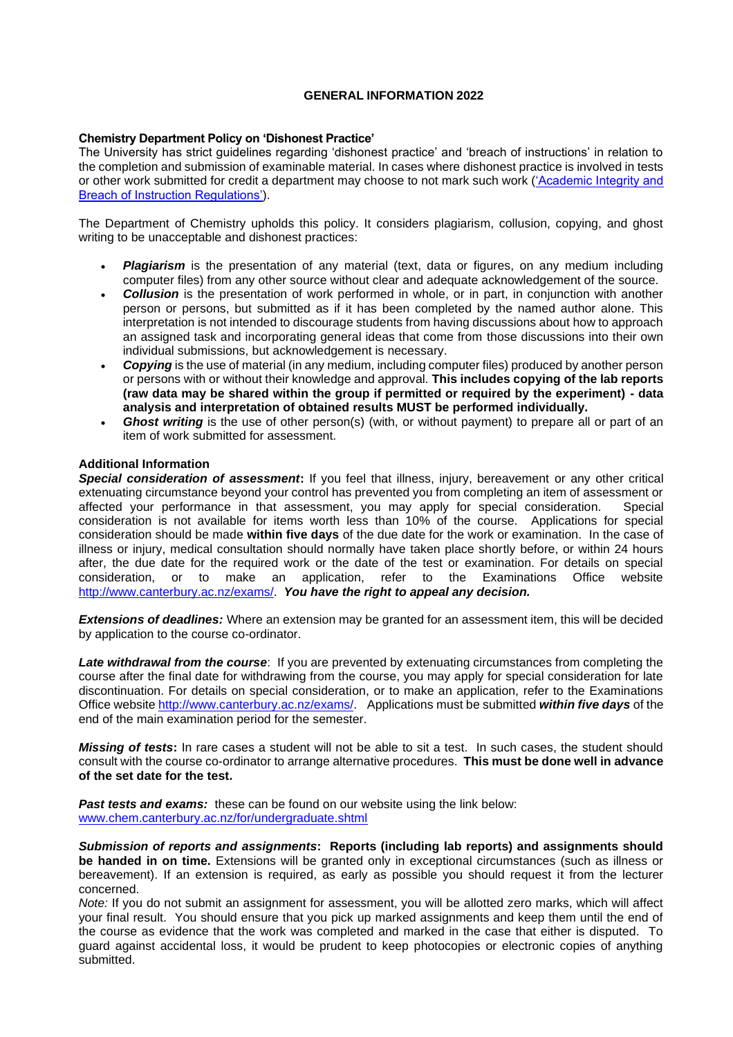# **GENERAL INFORMATION 2022**

#### **Chemistry Department Policy on 'Dishonest Practice'**

The University has strict guidelines regarding 'dishonest practice' and 'breach of instructions' in relation to the completion and submission of examinable material. In cases where dishonest practice is involved in tests or other work submitted for credit a department may choose to not mark such work [\('Academic Integrity and](https://www.canterbury.ac.nz/regulations/general-regulations/academic-integrity-and-breach-of-instruction-regulations/)  [Breach of Instruction Regulations'\)](https://www.canterbury.ac.nz/regulations/general-regulations/academic-integrity-and-breach-of-instruction-regulations/).

The Department of Chemistry upholds this policy. It considers plagiarism, collusion, copying, and ghost writing to be unacceptable and dishonest practices:

- **Plagiarism** is the presentation of any material (text, data or figures, on any medium including computer files) from any other source without clear and adequate acknowledgement of the source.
- **Collusion** is the presentation of work performed in whole, or in part, in conjunction with another person or persons, but submitted as if it has been completed by the named author alone. This interpretation is not intended to discourage students from having discussions about how to approach an assigned task and incorporating general ideas that come from those discussions into their own individual submissions, but acknowledgement is necessary.
- *Copying* is the use of material (in any medium, including computer files) produced by another person or persons with or without their knowledge and approval. **This includes copying of the lab reports (raw data may be shared within the group if permitted or required by the experiment) - data analysis and interpretation of obtained results MUST be performed individually.**
- Ghost writing is the use of other person(s) (with, or without payment) to prepare all or part of an item of work submitted for assessment.

# **Additional Information**

*Special consideration of assessment***:** If you feel that illness, injury, bereavement or any other critical extenuating circumstance beyond your control has prevented you from completing an item of assessment or affected your performance in that assessment, you may apply for special consideration. Special affected your performance in that assessment, you may apply for special consideration. consideration is not available for items worth less than 10% of the course. Applications for special consideration should be made **within five days** of the due date for the work or examination. In the case of illness or injury, medical consultation should normally have taken place shortly before, or within 24 hours after, the due date for the required work or the date of the test or examination. For details on special consideration, or to make an application, refer to the Examinations Office website [http://www.canterbury.ac.nz/exams/.](http://www.canterbury.ac.nz/exams/) *You have the right to appeal any decision.* 

*Extensions of deadlines:* Where an extension may be granted for an assessment item, this will be decided by application to the course co-ordinator.

**Late withdrawal from the course**: If you are prevented by extenuating circumstances from completing the course after the final date for withdrawing from the course, you may apply for special consideration for late discontinuation. For details on special consideration, or to make an application, refer to the Examinations Office websit[e http://www.canterbury.ac.nz/exams/.](http://www.canterbury.ac.nz/exams/) Applications must be submitted *within five days* of the end of the main examination period for the semester.

*Missing of tests***:** In rare cases a student will not be able to sit a test. In such cases, the student should consult with the course co-ordinator to arrange alternative procedures. **This must be done well in advance of the set date for the test.**

**Past tests and exams:** these can be found on our website using the link below: [www.chem.canterbury.ac.nz/for/undergraduate.shtml](http://www.chem.canterbury.ac.nz/for/undergraduate.shtml)

*Submission of reports and assignments***: Reports (including lab reports) and assignments should be handed in on time.** Extensions will be granted only in exceptional circumstances (such as illness or bereavement). If an extension is required, as early as possible you should request it from the lecturer concerned.

*Note:* If you do not submit an assignment for assessment, you will be allotted zero marks, which will affect your final result. You should ensure that you pick up marked assignments and keep them until the end of the course as evidence that the work was completed and marked in the case that either is disputed. To guard against accidental loss, it would be prudent to keep photocopies or electronic copies of anything submitted.